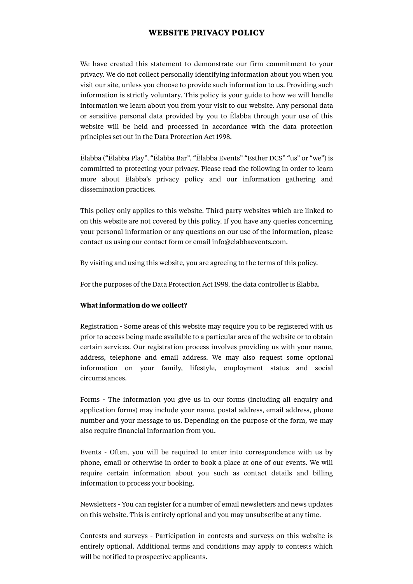# **WEBSITE PRIVACY POLICY**

We have created this statement to demonstrate our firm commitment to your privacy. We do not collect personally identifying information about you when you visit our site, unless you choose to provide such information to us. Providing such information is strictly voluntary. This policy is your guide to how we will handle information we learn about you from your visit to our website. Any personal data or sensitive personal data provided by you to Ëlabba through your use of this website will be held and processed in accordance with the data protection principles set out in the Data Protection Act 1998.

Ëlabba ("Ëlabba Play", "Ëlabba Bar", "Ëlabba Events" "Esther DCS" "us" or "we") is committed to protecting your privacy. Please read the following in order to learn more about Ëlabba's privacy policy and our information gathering and dissemination practices.

This policy only applies to this website. Third party websites which are linked to on this website are not covered by this policy. If you have any queries concerning your personal information or any questions on our use of the information, please contact us using our contact form or email [info@elabbaevents.com.](mailto:info@elabbaevents.com)

By visiting and using this website, you are agreeing to the terms of this policy.

For the purposes of the Data Protection Act 1998, the data controller is Ëlabba.

## **What information do we collect?**

Registration - Some areas of this website may require you to be registered with us prior to access being made available to a particular area of the website or to obtain certain services. Our registration process involves providing us with your name, address, telephone and email address. We may also request some optional information on your family, lifestyle, employment status and social circumstances.

Forms - The information you give us in our forms (including all enquiry and application forms) may include your name, postal address, email address, phone number and your message to us. Depending on the purpose of the form, we may also require financial information from you.

Events - Often, you will be required to enter into correspondence with us by phone, email or otherwise in order to book a place at one of our events. We will require certain information about you such as contact details and billing information to process your booking.

Newsletters - You can register for a number of email newsletters and news updates on this website. This is entirely optional and you may unsubscribe at any time.

Contests and surveys - Participation in contests and surveys on this website is entirely optional. Additional terms and conditions may apply to contests which will be notified to prospective applicants.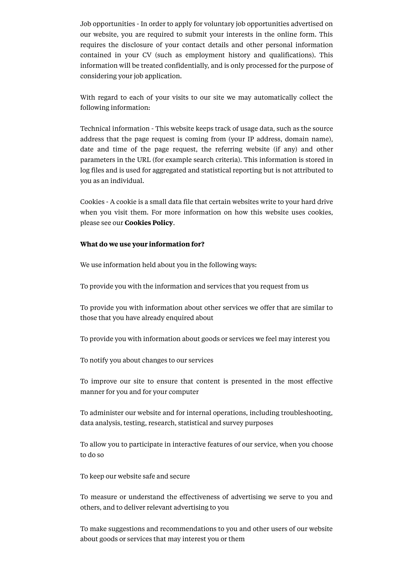Job opportunities - In order to apply for voluntary job opportunities advertised on our website, you are required to submit your interests in the online form. This requires the disclosure of your contact details and other personal information contained in your CV (such as employment history and qualifications). This information will be treated confidentially, and is only processed for the purpose of considering your job application.

With regard to each of your visits to our site we may automatically collect the following information:

Technical information - This website keeps track of usage data, such as the source address that the page request is coming from (your IP address, domain name), date and time of the page request, the referring website (if any) and other parameters in the URL (for example search criteria). This information is stored in log files and is used for aggregated and statistical reporting but is not attributed to you as an individual.

Cookies - A cookie is a small data file that certain websites write to your hard drive when you visit them. For more information on how this website uses cookies, please see our **Cookies Policy**.

#### **What do we use your information for?**

We use information held about you in the following ways:

To provide you with the information and services that you request from us

To provide you with information about other services we offer that are similar to those that you have already enquired about

To provide you with information about goods or services we feel may interest you

To notify you about changes to our services

To improve our site to ensure that content is presented in the most effective manner for you and for your computer

To administer our website and for internal operations, including troubleshooting, data analysis, testing, research, statistical and survey purposes

To allow you to participate in interactive features of our service, when you choose to do so

To keep our website safe and secure

To measure or understand the effectiveness of advertising we serve to you and others, and to deliver relevant advertising to you

To make suggestions and recommendations to you and other users of our website about goods or services that may interest you or them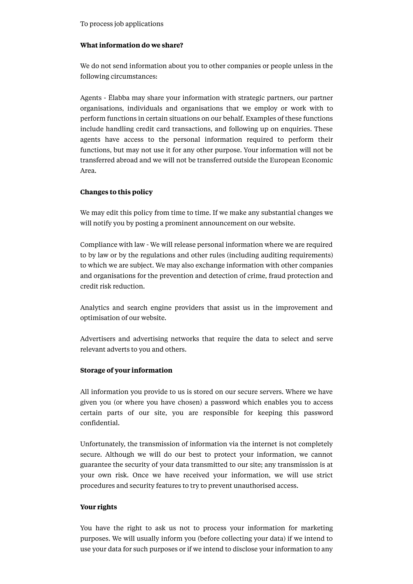# **What information do we share?**

We do not send information about you to other companies or people unless in the following circumstances:

Agents - Ëlabba may share your information with strategic partners, our partner organisations, individuals and organisations that we employ or work with to perform functions in certain situations on our behalf. Examples of these functions include handling credit card transactions, and following up on enquiries. These agents have access to the personal information required to perform their functions, but may not use it for any other purpose. Your information will not be transferred abroad and we will not be transferred outside the European Economic Area.

# **Changes to this policy**

We may edit this policy from time to time. If we make any substantial changes we will notify you by posting a prominent announcement on our website.

Compliance with law - We will release personal information where we are required to by law or by the regulations and other rules (including auditing requirements) to which we are subject. We may also exchange information with other companies and organisations for the prevention and detection of crime, fraud protection and credit risk reduction.

Analytics and search engine providers that assist us in the improvement and optimisation of our website.

Advertisers and advertising networks that require the data to select and serve relevant adverts to you and others.

# **Storage of your information**

All information you provide to us is stored on our secure servers. Where we have given you (or where you have chosen) a password which enables you to access certain parts of our site, you are responsible for keeping this password confidential.

Unfortunately, the transmission of information via the internet is not completely secure. Although we will do our best to protect your information, we cannot guarantee the security of your data transmitted to our site; any transmission is at your own risk. Once we have received your information, we will use strict procedures and security features to try to prevent unauthorised access.

#### **Your rights**

You have the right to ask us not to process your information for marketing purposes. We will usually inform you (before collecting your data) if we intend to use your data for such purposes or if we intend to disclose your information to any